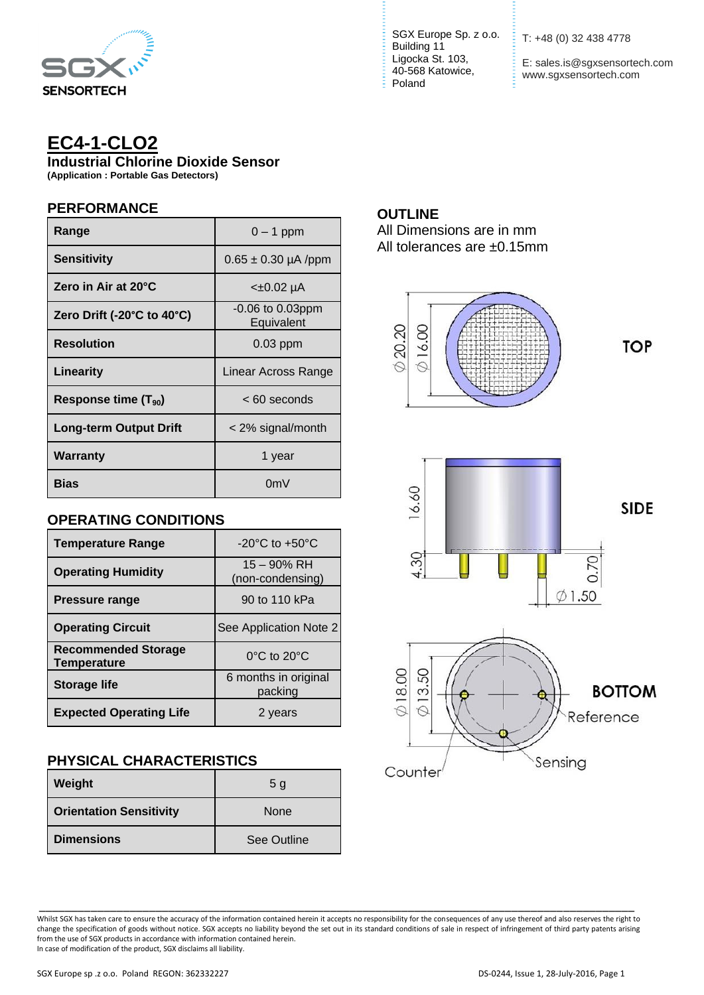

# **EC4-1-CLO2**

**Industrial Chlorine Dioxide Sensor**

**(Application : Portable Gas Detectors)**

#### **PERFORMANCE**

| Range                      | $0 - 1$ ppm                         |  |
|----------------------------|-------------------------------------|--|
| <b>Sensitivity</b>         | $0.65 \pm 0.30 \,\mu A$ /ppm        |  |
| Zero in Air at 20°C        | <±0.02 µA                           |  |
| Zero Drift (-20°C to 40°C) | $-0.06$ to $0.03$ ppm<br>Equivalent |  |
| <b>Resolution</b>          | $0.03$ ppm                          |  |
|                            |                                     |  |
| Linearity                  | Linear Across Range                 |  |
| Response time $(T_{90})$   | < 60 seconds                        |  |
| Long-term Output Drift     | < 2% signal/month                   |  |
| Warranty                   | 1 year                              |  |

### **OPERATING CONDITIONS**

| <b>Temperature Range</b>                         | -20 $^{\circ}$ C to +50 $^{\circ}$ C |
|--------------------------------------------------|--------------------------------------|
| <b>Operating Humidity</b>                        | 15 - 90% RH<br>(non-condensing)      |
| <b>Pressure range</b>                            | 90 to 110 kPa                        |
| <b>Operating Circuit</b>                         | See Application Note 2               |
| <b>Recommended Storage</b><br><b>Temperature</b> | $0^{\circ}$ C to $20^{\circ}$ C      |
| <b>Storage life</b>                              | 6 months in original<br>packing      |
| <b>Expected Operating Life</b>                   | 2 years                              |

## **PHYSICAL CHARACTERISTICS**

| Weight                         | 5 <sub>q</sub> |
|--------------------------------|----------------|
| <b>Orientation Sensitivity</b> | <b>None</b>    |
| <b>Dimensions</b>              | See Outline    |

SGX Europe Sp. z o.o. <br>
T: +48 (0) 32 438 4778 Building 11 Ligocka St. 103, 40-568 Katowice, Poland

E: sales.is@sgxsensortech.com www.sgxsensortech.com

#### **OUTLINE**

All Dimensions are in mm All tolerances are ±0.15mm



\_\_\_\_\_\_\_\_\_\_\_\_\_\_\_\_\_\_\_\_\_\_\_\_\_\_\_\_\_\_\_\_\_\_\_\_\_\_\_\_\_\_\_\_\_\_\_\_\_\_\_\_\_\_\_\_\_\_\_\_\_\_\_\_\_\_\_\_\_\_\_\_\_\_\_\_\_\_\_\_\_\_\_\_\_\_\_\_\_\_\_\_ Whilst SGX has taken care to ensure the accuracy of the information contained herein it accepts no responsibility for the consequences of any use thereof and also reserves the right to change the specification of goods without notice. SGX accepts no liability beyond the set out in its standard conditions of sale in respect of infringement of third party patents arising from the use of SGX products in accordance with information contained herein. In case of modification of the product, SGX disclaims all liability.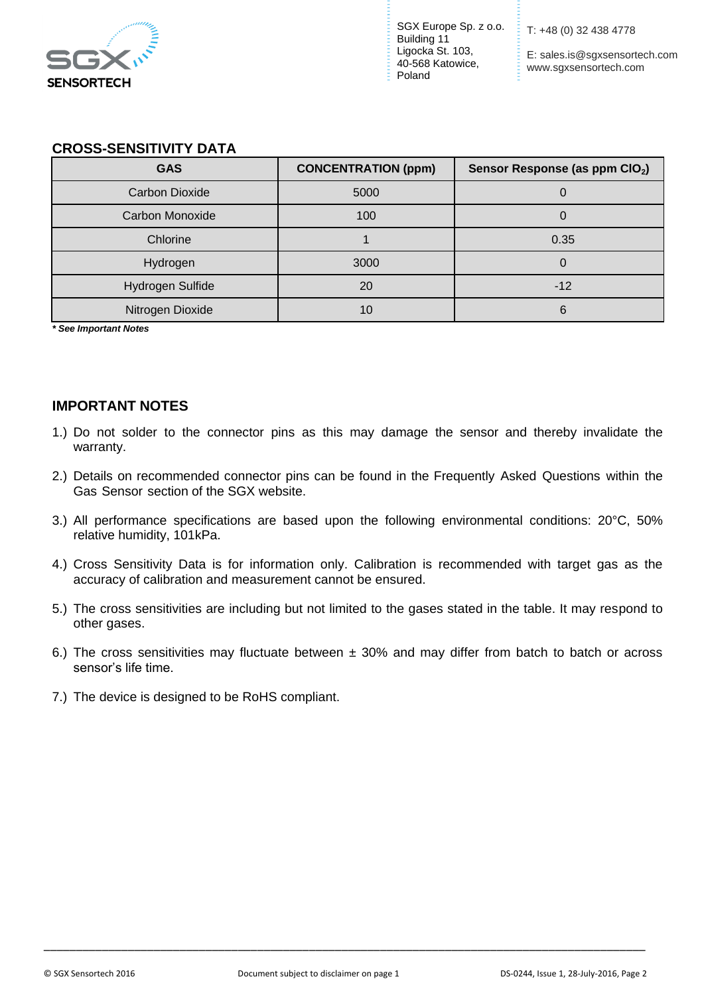

SGX Europe Sp. z o.o. Building 11 Ligocka St. 103, 40-568 Katowice, Poland

T: +48 (0) 32 438 4778

E: sales.is@sgxsensortech.com www.sgxsensortech.com

#### **CROSS-SENSITIVITY DATA**

| <b>GAS</b>            | <b>CONCENTRATION (ppm)</b> | Sensor Response (as ppm CIO <sub>2</sub> ) |
|-----------------------|----------------------------|--------------------------------------------|
| <b>Carbon Dioxide</b> | 5000                       |                                            |
| Carbon Monoxide       | 100                        |                                            |
| Chlorine              |                            | 0.35                                       |
| Hydrogen              | 3000                       |                                            |
| Hydrogen Sulfide      | 20                         | $-12$                                      |
| Nitrogen Dioxide      | 10                         | 6                                          |

*\* See Important Notes*

#### **IMPORTANT NOTES**

- 1.) Do not solder to the connector pins as this may damage the sensor and thereby invalidate the warranty.
- 2.) Details on recommended connector pins can be found in the Frequently Asked Questions within the Gas Sensor section of the SGX website.
- 3.) All performance specifications are based upon the following environmental conditions: 20°C, 50% relative humidity, 101kPa.
- 4.) Cross Sensitivity Data is for information only. Calibration is recommended with target gas as the accuracy of calibration and measurement cannot be ensured.
- 5.) The cross sensitivities are including but not limited to the gases stated in the table. It may respond to other gases.
- 6.) The cross sensitivities may fluctuate between  $\pm$  30% and may differ from batch to batch or across sensor's life time.
- 7.) The device is designed to be RoHS compliant.

\_\_\_\_\_\_\_\_\_\_\_\_\_\_\_\_\_\_\_\_\_\_\_\_\_\_\_\_\_\_\_\_\_\_\_\_\_\_\_\_\_\_\_\_\_\_\_\_\_\_\_\_\_\_\_\_\_\_\_\_\_\_\_\_\_\_\_\_\_\_\_\_\_\_\_\_\_\_\_\_\_\_\_\_\_\_\_\_\_\_\_\_\_